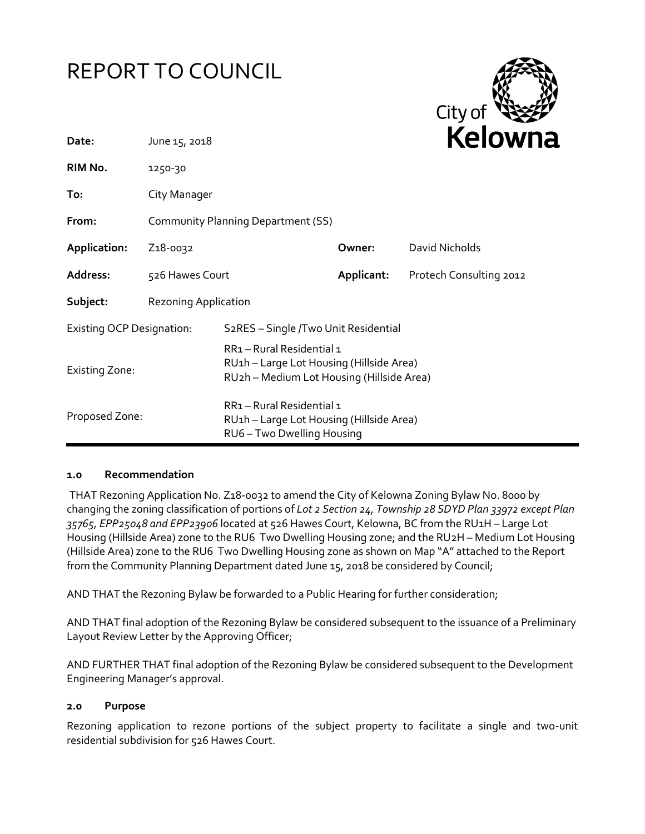



| Date:                            | June 15, 2018                             |                                                                                                                  |            | <b>Kelown</b>           |  |
|----------------------------------|-------------------------------------------|------------------------------------------------------------------------------------------------------------------|------------|-------------------------|--|
| RIM No.                          | 1250-30                                   |                                                                                                                  |            |                         |  |
| To:                              | City Manager                              |                                                                                                                  |            |                         |  |
| From:                            | <b>Community Planning Department (SS)</b> |                                                                                                                  |            |                         |  |
| Application:                     | Z <sub>1</sub> 8-0032                     |                                                                                                                  | Owner:     | David Nicholds          |  |
| Address:                         | 526 Hawes Court                           |                                                                                                                  | Applicant: | Protech Consulting 2012 |  |
| Subject:                         | <b>Rezoning Application</b>               |                                                                                                                  |            |                         |  |
| <b>Existing OCP Designation:</b> |                                           | S <sub>2</sub> RES - Single /Two Unit Residential                                                                |            |                         |  |
| <b>Existing Zone:</b>            |                                           | RR1-Rural Residential 1<br>RU1h - Large Lot Housing (Hillside Area)<br>RU2h - Medium Lot Housing (Hillside Area) |            |                         |  |
| Proposed Zone:                   |                                           | RR1-Rural Residential 1<br>RU1h - Large Lot Housing (Hillside Area)<br>RU6 - Two Dwelling Housing                |            |                         |  |

### **1.0 Recommendation**

THAT Rezoning Application No. Z18-0032 to amend the City of Kelowna Zoning Bylaw No. 8000 by changing the zoning classification of portions of *Lot 2 Section 24, Township 28 SDYD Plan 33972 except Plan 35765, EPP25048 and EPP23906* located at 526 Hawes Court, Kelowna, BC from the RU1H – Large Lot Housing (Hillside Area) zone to the RU6 Two Dwelling Housing zone; and the RU2H – Medium Lot Housing (Hillside Area) zone to the RU6 Two Dwelling Housing zone as shown on Map "A" attached to the Report from the Community Planning Department dated June 15, 2018 be considered by Council;

AND THAT the Rezoning Bylaw be forwarded to a Public Hearing for further consideration;

AND THAT final adoption of the Rezoning Bylaw be considered subsequent to the issuance of a Preliminary Layout Review Letter by the Approving Officer;

AND FURTHER THAT final adoption of the Rezoning Bylaw be considered subsequent to the Development Engineering Manager's approval.

#### **2.0 Purpose**

Rezoning application to rezone portions of the subject property to facilitate a single and two-unit residential subdivision for 526 Hawes Court.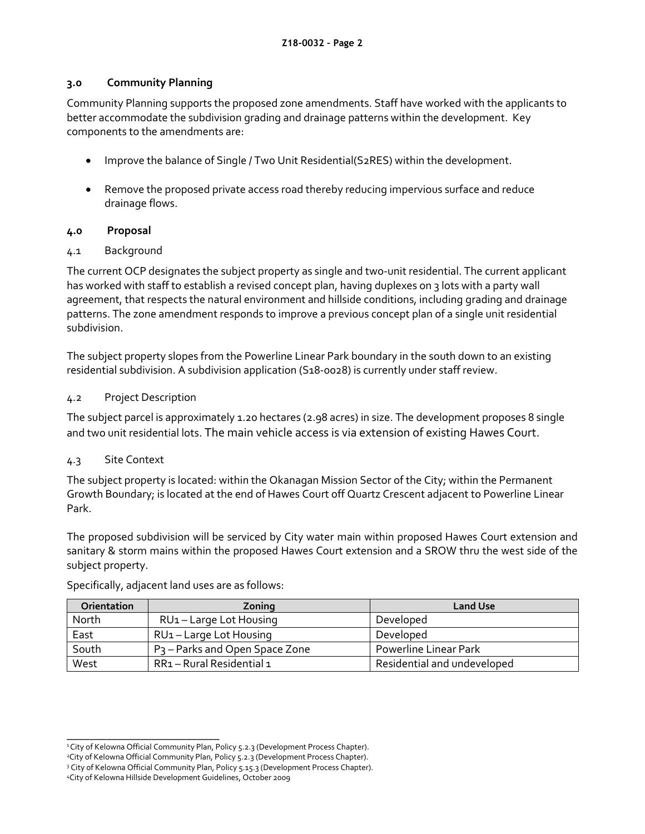## **3.0 Community Planning**

Community Planning supports the proposed zone amendments. Staff have worked with the applicants to better accommodate the subdivision grading and drainage patterns within the development. Key components to the amendments are:

- Improve the balance of Single / Two Unit Residential(S2RES) within the development.
- Remove the proposed private access road thereby reducing impervious surface and reduce drainage flows.

### **4.0 Proposal**

### 4.1 Background

The current OCP designates the subject property as single and two-unit residential. The current applicant has worked with staff to establish a revised concept plan, having duplexes on 3 lots with a party wall agreement, that respects the natural environment and hillside conditions, including grading and drainage patterns. The zone amendment responds to improve a previous concept plan of a single unit residential subdivision.

The subject property slopes from the Powerline Linear Park boundary in the south down to an existing residential subdivision. A subdivision application (S18-0028) is currently under staff review.

### 4.2 Project Description

The subject parcel is approximately 1.20 hectares (2.98 acres) in size. The development proposes 8 single and two unit residential lots. The main vehicle access is via extension of existing Hawes Court.

## 4.3 Site Context

The subject property is located: within the Okanagan Mission Sector of the City; within the Permanent Growth Boundary; is located at the end of Hawes Court off Quartz Crescent adjacent to Powerline Linear Park.

The proposed subdivision will be serviced by City water main within proposed Hawes Court extension and sanitary & storm mains within the proposed Hawes Court extension and a SROW thru the west side of the subject property.

| <b>Orientation</b> | Zoning                                     | <b>Land Use</b>             |
|--------------------|--------------------------------------------|-----------------------------|
| North              | RU <sub>1</sub> – Large Lot Housing        | Developed                   |
| East               | RU <sub>1</sub> - Large Lot Housing        | Developed                   |
| South              | P <sub>3</sub> – Parks and Open Space Zone | Powerline Linear Park       |
| West               | RR1 - Rural Residential 1                  | Residential and undeveloped |

Specifically, adjacent land uses are as follows:

\_\_\_\_\_\_\_\_\_\_\_\_\_\_\_\_\_\_\_\_\_\_\_\_\_\_\_ <sup>1</sup>City of Kelowna Official Community Plan, Policy 5.2.3 (Development Process Chapter).

<sup>&</sup>lt;sup>2</sup>City of Kelowna Official Community Plan, Policy 5.2.3 (Development Process Chapter).

<sup>&</sup>lt;sup>3</sup> City of Kelowna Official Community Plan, Policy 5.15.3 (Development Process Chapter).

<sup>4</sup>City of Kelowna Hillside Development Guidelines, October 2009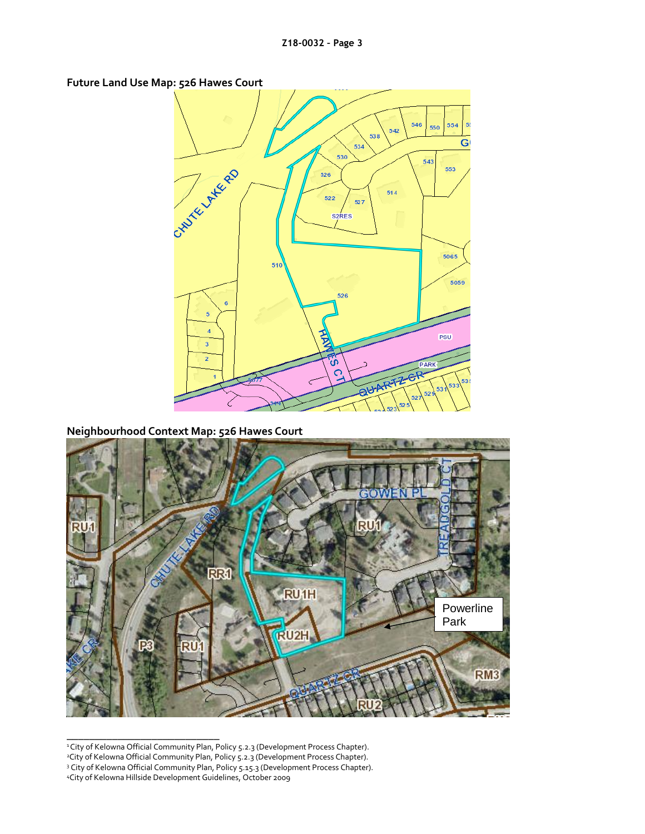**Future Land Use Map: 526 Hawes Court**



**Neighbourhood Context Map: 526 Hawes Court**



\_\_\_\_\_\_\_\_\_\_\_\_\_\_\_\_\_\_\_\_\_\_\_\_\_\_\_ <sup>1</sup>City of Kelowna Official Community Plan, Policy 5.2.3 (Development Process Chapter).

- <sup>2</sup>City of Kelowna Official Community Plan, Policy 5.2.3 (Development Process Chapter).
- <sup>3</sup> City of Kelowna Official Community Plan, Policy 5.15.3 (Development Process Chapter).
- <sup>4</sup>City of Kelowna Hillside Development Guidelines, October 2009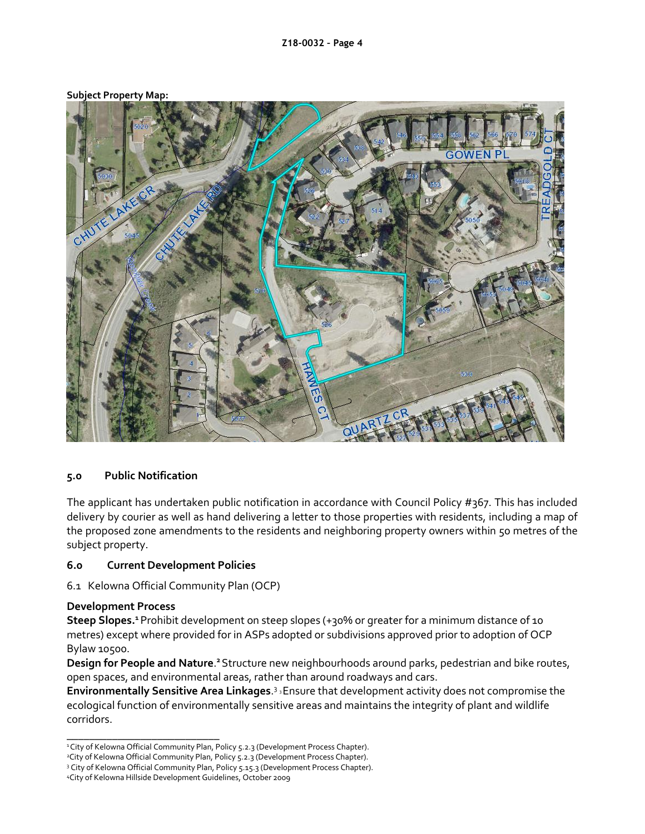#### **Subject Property Map:**



#### **5.0 Public Notification**

The applicant has undertaken public notification in accordance with Council Policy #367. This has included delivery by courier as well as hand delivering a letter to those properties with residents, including a map of the proposed zone amendments to the residents and neighboring property owners within 50 metres of the subject property.

#### **6.0 Current Development Policies**

6.1 Kelowna Official Community Plan (OCP)

#### **Development Process**

**Steep Slopes.<sup>1</sup>**Prohibit development on steep slopes (+30% or greater for a minimum distance of 10 metres) except where provided for in ASPs adopted or subdivisions approved prior to adoption of OCP Bylaw 10500.

Design for People and Nature.<sup>2</sup> Structure new neighbourhoods around parks, pedestrian and bike routes, open spaces, and environmental areas, rather than around roadways and cars.

Environmentally Sensitive Area Linkages.<sup>3</sup> <sup>3</sup> Ensure that development activity does not compromise the ecological function of environmentally sensitive areas and maintains the integrity of plant and wildlife corridors.

\_\_\_\_\_\_\_\_\_\_\_\_\_\_\_\_\_\_\_\_\_\_\_\_\_\_\_ <sup>1</sup>City of Kelowna Official Community Plan, Policy 5.2.3 (Development Process Chapter).

<sup>&</sup>lt;sup>2</sup>City of Kelowna Official Community Plan, Policy 5.2.3 (Development Process Chapter).

<sup>&</sup>lt;sup>3</sup> City of Kelowna Official Community Plan, Policy 5.15.3 (Development Process Chapter).

<sup>4</sup>City of Kelowna Hillside Development Guidelines, October 2009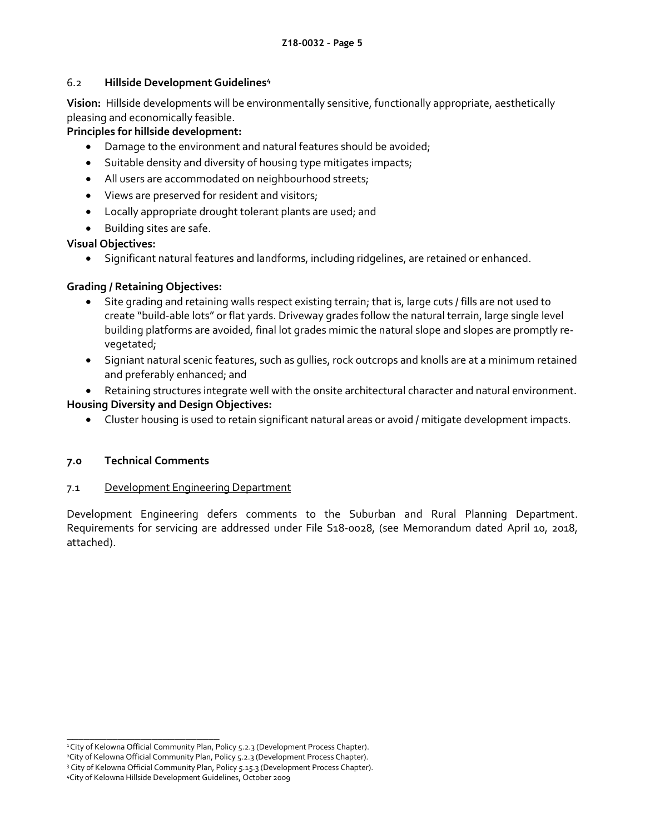### 6.2 **Hillside Development Guidelines<sup>4</sup>**

**Vision:** Hillside developments will be environmentally sensitive, functionally appropriate, aesthetically pleasing and economically feasible.

### **Principles for hillside development:**

- Damage to the environment and natural features should be avoided;
- Suitable density and diversity of housing type mitigates impacts;
- All users are accommodated on neighbourhood streets;
- Views are preserved for resident and visitors;
- Locally appropriate drought tolerant plants are used; and
- Building sites are safe.

## **Visual Objectives:**

Significant natural features and landforms, including ridgelines, are retained or enhanced.

## **Grading / Retaining Objectives:**

- Site grading and retaining walls respect existing terrain; that is, large cuts / fills are not used to create "build-able lots" or flat yards. Driveway grades follow the natural terrain, large single level building platforms are avoided, final lot grades mimic the natural slope and slopes are promptly revegetated;
- Signiant natural scenic features, such as gullies, rock outcrops and knolls are at a minimum retained and preferably enhanced; and
- Retaining structures integrate well with the onsite architectural character and natural environment.

## **Housing Diversity and Design Objectives:**

Cluster housing is used to retain significant natural areas or avoid / mitigate development impacts.

#### **7.0 Technical Comments**

#### 7.1 Development Engineering Department

Development Engineering defers comments to the Suburban and Rural Planning Department. Requirements for servicing are addressed under File S18-0028, (see Memorandum dated April 10, 2018, attached).

\_\_\_\_\_\_\_\_\_\_\_\_\_\_\_\_\_\_\_\_\_\_\_\_\_\_\_ <sup>1</sup>City of Kelowna Official Community Plan, Policy 5.2.3 (Development Process Chapter).

<sup>&</sup>lt;sup>2</sup>City of Kelowna Official Community Plan, Policy 5.2.3 (Development Process Chapter).

<sup>&</sup>lt;sup>3</sup> City of Kelowna Official Community Plan, Policy 5.15.3 (Development Process Chapter).

<sup>4</sup>City of Kelowna Hillside Development Guidelines, October 2009